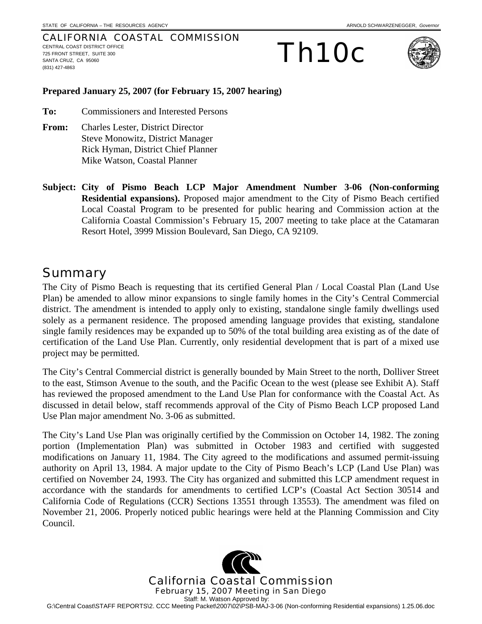#### CALIFORNIA COASTAL COMMISSION CENTRAL COAST DISTRICT OFFICE 725 FRONT STREET, SUITE 300 SANTA CRUZ, CA 95060 (831) 427-4863





#### **Prepared January 25, 2007 (for February 15, 2007 hearing)**

**To:** Commissioners and Interested Persons

- **From:** Charles Lester, District Director Steve Monowitz, District Manager Rick Hyman, District Chief Planner Mike Watson, Coastal Planner
- **Subject: City of Pismo Beach LCP Major Amendment Number 3-06 (Non-conforming Residential expansions).** Proposed major amendment to the City of Pismo Beach certified Local Coastal Program to be presented for public hearing and Commission action at the California Coastal Commission's February 15, 2007 meeting to take place at the Catamaran Resort Hotel, 3999 Mission Boulevard, San Diego, CA 92109.

## **Summary**

The City of Pismo Beach is requesting that its certified General Plan / Local Coastal Plan (Land Use Plan) be amended to allow minor expansions to single family homes in the City's Central Commercial district. The amendment is intended to apply only to existing, standalone single family dwellings used solely as a permanent residence. The proposed amending language provides that existing, standalone single family residences may be expanded up to 50% of the total building area existing as of the date of certification of the Land Use Plan. Currently, only residential development that is part of a mixed use project may be permitted.

The City's Central Commercial district is generally bounded by Main Street to the north, Dolliver Street to the east, Stimson Avenue to the south, and the Pacific Ocean to the west (please see Exhibit A). Staff has reviewed the proposed amendment to the Land Use Plan for conformance with the Coastal Act. As discussed in detail below, staff recommends approval of the City of Pismo Beach LCP proposed Land Use Plan major amendment No. 3-06 as submitted.

The City's Land Use Plan was originally certified by the Commission on October 14, 1982. The zoning portion (Implementation Plan) was submitted in October 1983 and certified with suggested modifications on January 11, 1984. The City agreed to the modifications and assumed permit-issuing authority on April 13, 1984. A major update to the City of Pismo Beach's LCP (Land Use Plan) was certified on November 24, 1993. The City has organized and submitted this LCP amendment request in accordance with the standards for amendments to certified LCP's (Coastal Act Section 30514 and California Code of Regulations (CCR) Sections 13551 through 13553). The amendment was filed on November 21, 2006. Properly noticed public hearings were held at the Planning Commission and City Council.

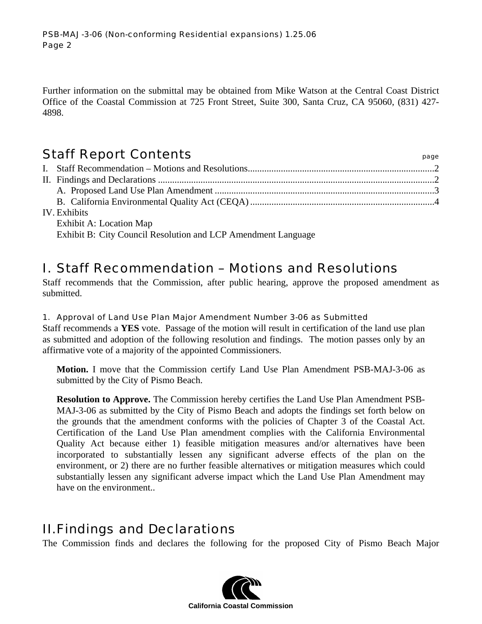Further information on the submittal may be obtained from Mike Watson at the Central Coast District Office of the Coastal Commission at 725 Front Street, Suite 300, Santa Cruz, CA 95060, (831) 427- 4898.

## Staff Report Contents **page 18**

| IV. Exhibits            |  |
|-------------------------|--|
| Exhibit A: Location Map |  |

Exhibit B: City Council Resolution and LCP Amendment Language

# I. Staff Recommendation – Motions and Resolutions

Staff recommends that the Commission, after public hearing, approve the proposed amendment as submitted.

### 1. Approval of Land Use Plan Major Amendment Number 3-06 as Submitted

Staff recommends a **YES** vote. Passage of the motion will result in certification of the land use plan as submitted and adoption of the following resolution and findings. The motion passes only by an affirmative vote of a majority of the appointed Commissioners.

**Motion.** I move that the Commission certify Land Use Plan Amendment PSB-MAJ-3-06 as submitted by the City of Pismo Beach.

**Resolution to Approve.** The Commission hereby certifies the Land Use Plan Amendment PSB-MAJ-3-06 as submitted by the City of Pismo Beach and adopts the findings set forth below on the grounds that the amendment conforms with the policies of Chapter 3 of the Coastal Act. Certification of the Land Use Plan amendment complies with the California Environmental Quality Act because either 1) feasible mitigation measures and/or alternatives have been incorporated to substantially lessen any significant adverse effects of the plan on the environment, or 2) there are no further feasible alternatives or mitigation measures which could substantially lessen any significant adverse impact which the Land Use Plan Amendment may have on the environment..

## II. Findings and Declarations

The Commission finds and declares the following for the proposed City of Pismo Beach Major

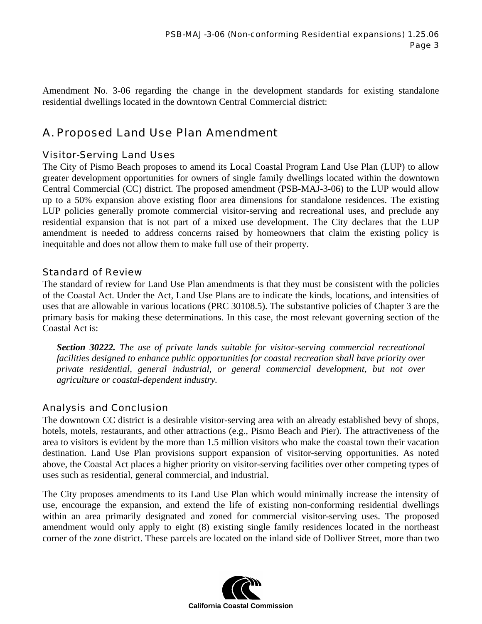Amendment No. 3-06 regarding the change in the development standards for existing standalone residential dwellings located in the downtown Central Commercial district:

## A. Proposed Land Use Plan Amendment

### Visitor-Serving Land Uses

The City of Pismo Beach proposes to amend its Local Coastal Program Land Use Plan (LUP) to allow greater development opportunities for owners of single family dwellings located within the downtown Central Commercial (CC) district. The proposed amendment (PSB-MAJ-3-06) to the LUP would allow up to a 50% expansion above existing floor area dimensions for standalone residences. The existing LUP policies generally promote commercial visitor-serving and recreational uses, and preclude any residential expansion that is not part of a mixed use development. The City declares that the LUP amendment is needed to address concerns raised by homeowners that claim the existing policy is inequitable and does not allow them to make full use of their property.

### Standard of Review

The standard of review for Land Use Plan amendments is that they must be consistent with the policies of the Coastal Act. Under the Act, Land Use Plans are to indicate the kinds, locations, and intensities of uses that are allowable in various locations (PRC 30108.5). The substantive policies of Chapter 3 are the primary basis for making these determinations. In this case, the most relevant governing section of the Coastal Act is:

*Section 30222. The use of private lands suitable for visitor-serving commercial recreational facilities designed to enhance public opportunities for coastal recreation shall have priority over private residential, general industrial, or general commercial development, but not over agriculture or coastal-dependent industry.*

### Analysis and Conclusion

The downtown CC district is a desirable visitor-serving area with an already established bevy of shops, hotels, motels, restaurants, and other attractions (e.g., Pismo Beach and Pier). The attractiveness of the area to visitors is evident by the more than 1.5 million visitors who make the coastal town their vacation destination. Land Use Plan provisions support expansion of visitor-serving opportunities. As noted above, the Coastal Act places a higher priority on visitor-serving facilities over other competing types of uses such as residential, general commercial, and industrial.

The City proposes amendments to its Land Use Plan which would minimally increase the intensity of use, encourage the expansion, and extend the life of existing non-conforming residential dwellings within an area primarily designated and zoned for commercial visitor-serving uses. The proposed amendment would only apply to eight (8) existing single family residences located in the northeast corner of the zone district. These parcels are located on the inland side of Dolliver Street, more than two

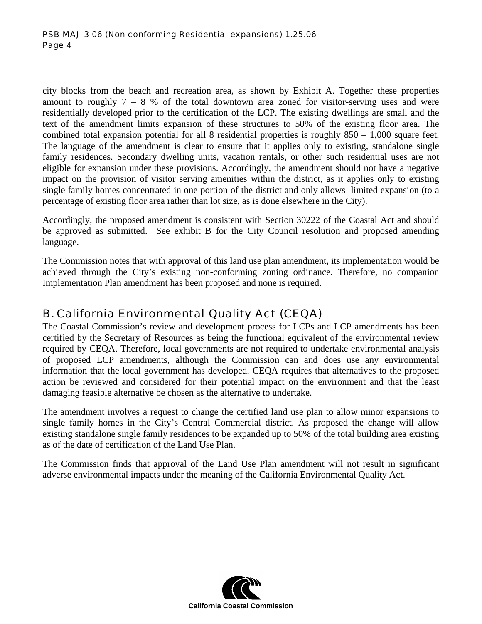city blocks from the beach and recreation area, as shown by Exhibit A. Together these properties amount to roughly  $7 - 8$  % of the total downtown area zoned for visitor-serving uses and were residentially developed prior to the certification of the LCP. The existing dwellings are small and the text of the amendment limits expansion of these structures to 50% of the existing floor area. The combined total expansion potential for all 8 residential properties is roughly  $850 - 1,000$  square feet. The language of the amendment is clear to ensure that it applies only to existing, standalone single family residences. Secondary dwelling units, vacation rentals, or other such residential uses are not eligible for expansion under these provisions. Accordingly, the amendment should not have a negative impact on the provision of visitor serving amenities within the district, as it applies only to existing single family homes concentrated in one portion of the district and only allows limited expansion (to a percentage of existing floor area rather than lot size, as is done elsewhere in the City).

Accordingly, the proposed amendment is consistent with Section 30222 of the Coastal Act and should be approved as submitted. See exhibit B for the City Council resolution and proposed amending language.

The Commission notes that with approval of this land use plan amendment, its implementation would be achieved through the City's existing non-conforming zoning ordinance. Therefore, no companion Implementation Plan amendment has been proposed and none is required.

## B. California Environmental Quality Act (CEQA)

The Coastal Commission's review and development process for LCPs and LCP amendments has been certified by the Secretary of Resources as being the functional equivalent of the environmental review required by CEQA. Therefore, local governments are not required to undertake environmental analysis of proposed LCP amendments, although the Commission can and does use any environmental information that the local government has developed. CEQA requires that alternatives to the proposed action be reviewed and considered for their potential impact on the environment and that the least damaging feasible alternative be chosen as the alternative to undertake.

The amendment involves a request to change the certified land use plan to allow minor expansions to single family homes in the City's Central Commercial district. As proposed the change will allow existing standalone single family residences to be expanded up to 50% of the total building area existing as of the date of certification of the Land Use Plan.

The Commission finds that approval of the Land Use Plan amendment will not result in significant adverse environmental impacts under the meaning of the California Environmental Quality Act.

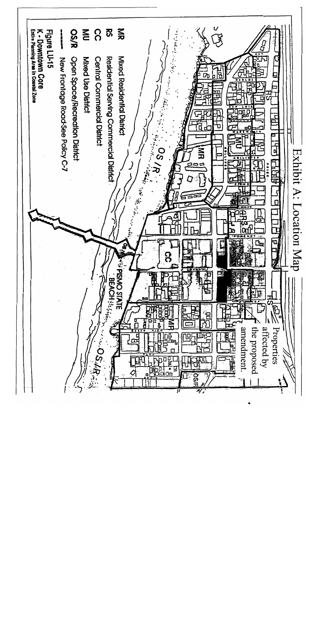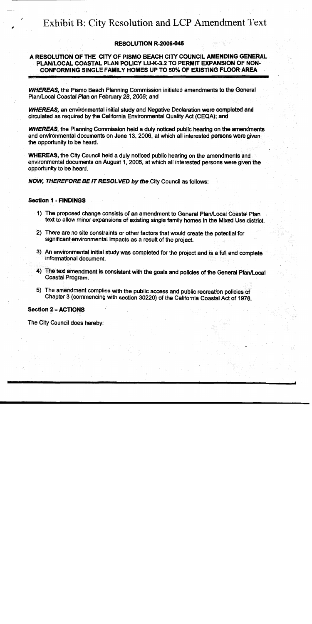# Exhibit B: City Resolution and LCP Amendment Text

#### **RESOLUTION R-2006-045**

### A RESOLUTION OF THE CITY OF PISMO BEACH CITY COUNCIL AMENDING GENERAL PLAN/LOCAL COASTAL PLAN POLICY LU-K-3.2 TO PERMIT EXPANSION OF NON-CONFORMING SINGLE FAMILY HOMES UP TO 50% OF EXISTING FLOOR AREA

**WHEREAS, the Pismo Beach Planning Commission initiated amendments to the General** Plan/Local Coastal Plan on February 28, 2006; and

**WHEREAS**, an environmental initial study and Negative Declaration were completed and circulated as required by the California Environmental Quality Act (CEQA); and

**WHEREAS**, the Planning Commission held a duly noticed public hearing on the amendments and environmental documents on June 13, 2006, at which all interested persons were given the opportunity to be heard.

**WHEREAS, the City Council held a duly noticed public hearing on the amendments and** environmental documents on August 1, 2006, at which all interested persons were given the opportunity to be heard.

NOW, THEREFORE BE IT RESOLVED by the City Council as follows:

#### **Section 1 - FINDINGS**

- 1) The proposed change consists of an amendment to General Plan/Local Coastal Plan text to allow minor expansions of existing single family homes in the Mixed Use district.
- 2) There are no site constraints or other factors that would create the potential for significant environmental impacts as a result of the project.
- 3) An environmental initial study was completed for the project and is a full and complete informational document.
- 4) The text amendment is consistent with the goals and policies of the General Plan/Local Coastal Program.
- 5) The amendment complies with the public access and public recreation policies of Chapter 3 (commencing with section 30220) of the California Coastal Act of 1976.

#### **Section 2 - ACTIONS**

The City Council does hereby: